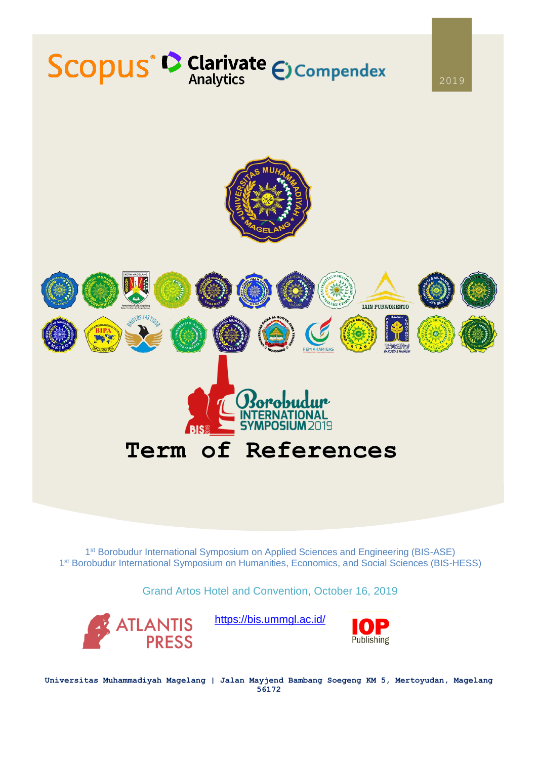

1<sup>st</sup> Borobudur International Symposium on Applied Sciences and Engineering (BIS-ASE) 1<sup>st</sup> Borobudur International Symposium on Humanities, Economics, and Social Sciences (BIS-HESS)

Grand Artos Hotel and Convention, October 16, 2019



<https://bis.ummgl.ac.id/>



**Universitas Muhammadiyah Magelang | Jalan Mayjend Bambang Soegeng KM 5, Mertoyudan, Magelang 56172**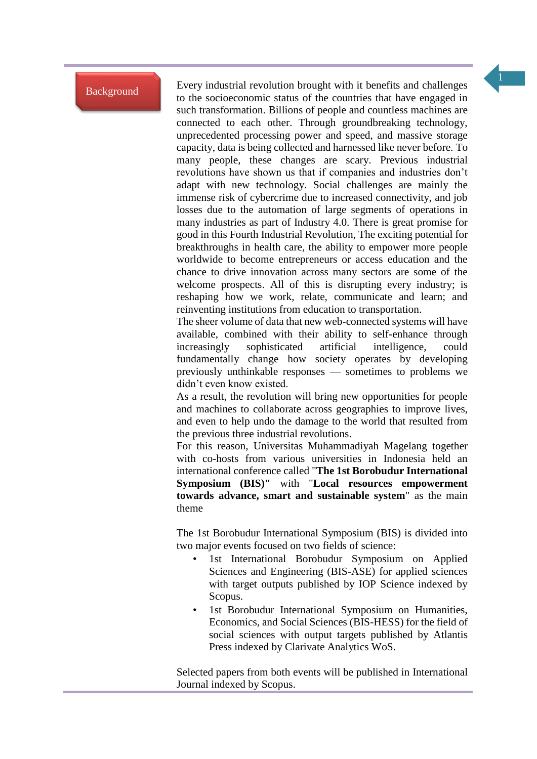Background

Every industrial revolution brought with it benefits and challenges to the socioeconomic status of the countries that have engaged in such transformation. Billions of people and countless machines are connected to each other. Through groundbreaking technology, unprecedented processing power and speed, and massive storage capacity, data is being collected and harnessed like never before. To many people, these changes are scary. Previous industrial revolutions have shown us that if companies and industries don't adapt with new technology. Social challenges are mainly the immense risk of cybercrime due to increased connectivity, and job losses due to the automation of large segments of operations in many industries as part of Industry 4.0. There is great promise for good in this Fourth Industrial Revolution, The exciting potential for breakthroughs in health care, the ability to empower more people worldwide to become entrepreneurs or access education and the chance to drive innovation across many sectors are some of the welcome prospects. All of this is disrupting every industry; is reshaping how we work, relate, communicate and learn; and reinventing institutions from education to transportation.

The sheer volume of data that new web-connected systems will have available, combined with their ability to self-enhance through increasingly sophisticated artificial intelligence, could fundamentally change how society operates by developing previously unthinkable responses — sometimes to problems we didn't even know existed.

As a result, the revolution will bring new opportunities for people and machines to collaborate across geographies to improve lives, and even to help undo the damage to the world that resulted from the previous three industrial revolutions.

For this reason, Universitas Muhammadiyah Magelang together with co-hosts from various universities in Indonesia held an international conference called "**The 1st Borobudur International Symposium (BIS)"** with "**Local resources empowerment towards advance, smart and sustainable system**" as the main theme

The 1st Borobudur International Symposium (BIS) is divided into two major events focused on two fields of science:

- 1st International Borobudur Symposium on Applied Sciences and Engineering (BIS-ASE) for applied sciences with target outputs published by IOP Science indexed by Scopus.
- 1st Borobudur International Symposium on Humanities, Economics, and Social Sciences (BIS-HESS) for the field of social sciences with output targets published by Atlantis Press indexed by Clarivate Analytics WoS.

Selected papers from both events will be published in International Journal indexed by Scopus.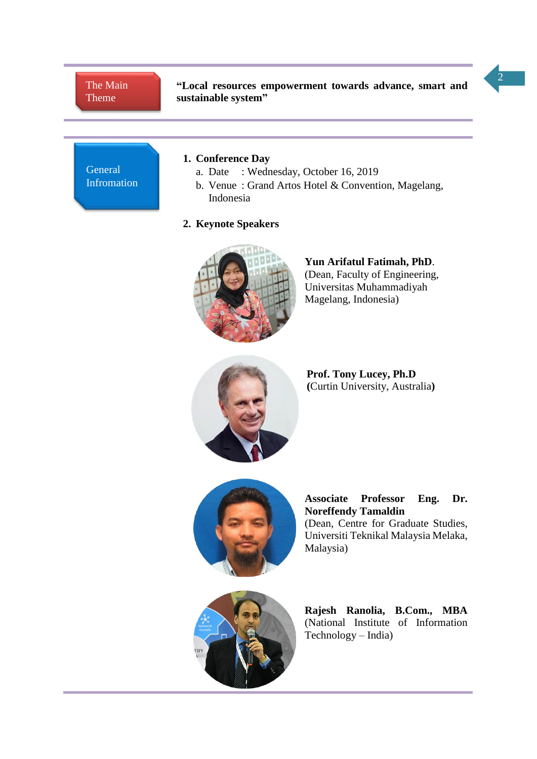# The Main Theme

**"Local resources empowerment towards advance, smart and sustainable system"**



# **1. Conference Day**

- a. Date : Wednesday, October 16, 2019
- b. Venue : Grand Artos Hotel & Convention, Magelang, Indonesia

# **2. Keynote Speakers**



**Yun Arifatul Fatimah, PhD**. (Dean, Faculty of Engineering, Universitas Muhammadiyah Magelang, Indonesia)



**Prof. Tony Lucey, Ph.D (**Curtin University, Australia**)**



**Associate Professor Eng. Dr. Noreffendy Tamaldin** (Dean, Centre for Graduate Studies, Universiti Teknikal Malaysia Melaka, Malaysia)



**Rajesh Ranolia, B.Com., MBA** (National Institute of Information Technology – India)

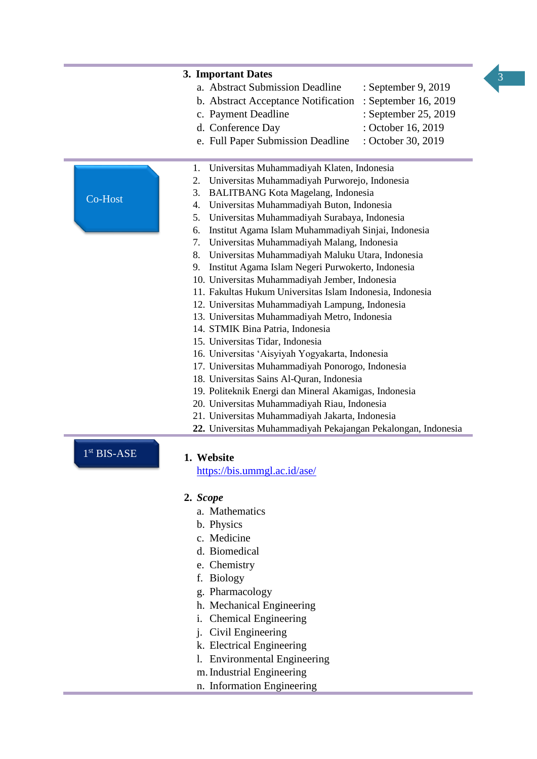

|                                                     | 3. Important Dates                                            |
|-----------------------------------------------------|---------------------------------------------------------------|
|                                                     | a. Abstract Submission Deadline<br>: September 9, 2019        |
|                                                     | : September 16, 2019<br>b. Abstract Acceptance Notification   |
|                                                     | : September 25, 2019<br>c. Payment Deadline                   |
|                                                     | d. Conference Day<br>: October 16, 2019                       |
|                                                     | e. Full Paper Submission Deadline<br>: October 30, 2019       |
|                                                     |                                                               |
|                                                     | Universitas Muhammadiyah Klaten, Indonesia<br>1.              |
| 2.<br>Universitas Muhammadiyah Purworejo, Indonesia |                                                               |
| Co-Host                                             | 3.<br><b>BALITBANG Kota Magelang, Indonesia</b>               |
|                                                     | Universitas Muhammadiyah Buton, Indonesia<br>4.               |
|                                                     | Universitas Muhammadiyah Surabaya, Indonesia<br>5.            |
|                                                     | Institut Agama Islam Muhammadiyah Sinjai, Indonesia<br>6.     |
|                                                     | 7. Universitas Muhammadiyah Malang, Indonesia                 |
|                                                     | 8.<br>Universitas Muhammadiyah Maluku Utara, Indonesia        |
|                                                     | Institut Agama Islam Negeri Purwokerto, Indonesia<br>9.       |
|                                                     | 10. Universitas Muhammadiyah Jember, Indonesia                |
|                                                     | 11. Fakultas Hukum Universitas Islam Indonesia, Indonesia     |
|                                                     | 12. Universitas Muhammadiyah Lampung, Indonesia               |
|                                                     | 13. Universitas Muhammadiyah Metro, Indonesia                 |
|                                                     | 14. STMIK Bina Patria, Indonesia                              |
|                                                     | 15. Universitas Tidar, Indonesia                              |
|                                                     | 16. Universitas 'Aisyiyah Yogyakarta, Indonesia               |
|                                                     | 17. Universitas Muhammadiyah Ponorogo, Indonesia              |
|                                                     | 18. Universitas Sains Al-Quran, Indonesia                     |
|                                                     | 19. Politeknik Energi dan Mineral Akamigas, Indonesia         |
|                                                     | 20. Universitas Muhammadiyah Riau, Indonesia                  |
|                                                     | 21. Universitas Muhammadiyah Jakarta, Indonesia               |
|                                                     | 22. Universitas Muhammadiyah Pekajangan Pekalongan, Indonesia |
| 1 <sup>st</sup> BIS-ASE                             | 1. Website<br>https://bis.ummgl.ac.id/ase/                    |
|                                                     | 2. Scope                                                      |
|                                                     | a. Mathematics                                                |
|                                                     | b. Physics                                                    |
|                                                     | c. Medicine                                                   |
|                                                     | d. Biomedical                                                 |
|                                                     |                                                               |
|                                                     | e. Chemistry                                                  |
|                                                     | f. Biology                                                    |
|                                                     | g. Pharmacology                                               |
|                                                     | h. Mechanical Engineering                                     |
|                                                     | <b>Chemical Engineering</b><br>1.                             |
|                                                     | j. Civil Engineering                                          |
|                                                     | k. Electrical Engineering                                     |
|                                                     | 1. Environmental Engineering                                  |

- m.Industrial Engineering
- n. Information Engineering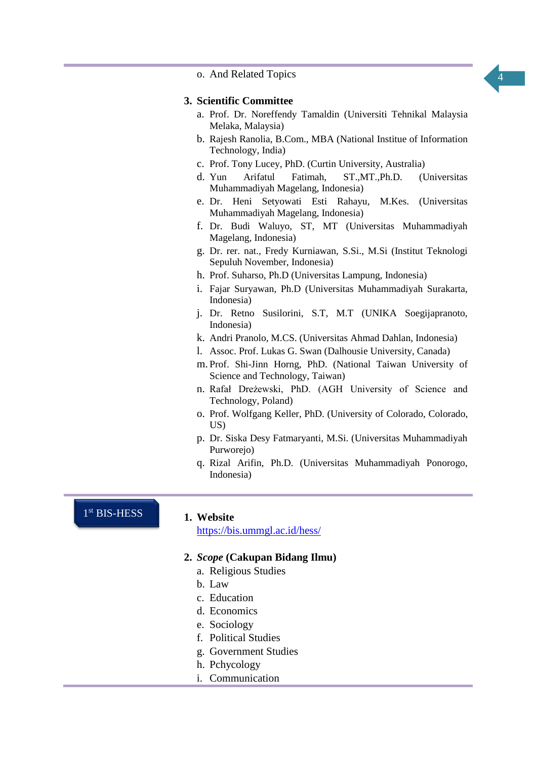4

o. And Related Topics

### **3. Scientific Committee**

- a. Prof. Dr. Noreffendy Tamaldin (Universiti Tehnikal Malaysia Melaka, Malaysia)
- b. Rajesh Ranolia, B.Com., MBA (National Institue of Information Technology, India)
- c. Prof. Tony Lucey, PhD. (Curtin University, Australia)
- d. Yun Arifatul Fatimah, ST.,MT.,Ph.D. (Universitas Muhammadiyah Magelang, Indonesia)
- e. Dr. Heni Setyowati Esti Rahayu, M.Kes. (Universitas Muhammadiyah Magelang, Indonesia)
- f. Dr. Budi Waluyo, ST, MT (Universitas Muhammadiyah Magelang, Indonesia)
- g. Dr. rer. nat., Fredy Kurniawan, S.Si., M.Si (Institut Teknologi Sepuluh November, Indonesia)
- h. Prof. Suharso, Ph.D (Universitas Lampung, Indonesia)
- i. Fajar Suryawan, Ph.D (Universitas Muhammadiyah Surakarta, Indonesia)
- j. Dr. Retno Susilorini, S.T, M.T (UNIKA Soegijapranoto, Indonesia)
- k. Andri Pranolo, M.CS. (Universitas Ahmad Dahlan, Indonesia)
- l. Assoc. Prof. Lukas G. Swan (Dalhousie University, Canada)
- m. Prof. Shi-Jinn Horng, PhD. (National Taiwan University of Science and Technology, Taiwan)
- n. Rafał Dreżewski, PhD. (AGH University of Science and Technology, Poland)
- o. Prof. Wolfgang Keller, PhD. (University of Colorado, Colorado, US)
- p. Dr. Siska Desy Fatmaryanti, M.Si. (Universitas Muhammadiyah Purworejo)
- q. Rizal Arifin, Ph.D. (Universitas Muhammadiyah Ponorogo, Indonesia)

## 1 st BIS-HESS

#### **1. Website**

[https://bis.ummgl.ac.id/hess/](https://bis.ummgl.ac.id/ase/)

# **2.** *Scope* **(Cakupan Bidang Ilmu)**

- a. Religious Studies
- b. Law
- c. Education
- d. Economics
- e. Sociology
- f. Political Studies
- g. Government Studies
- h. Pchycology
- i. Communication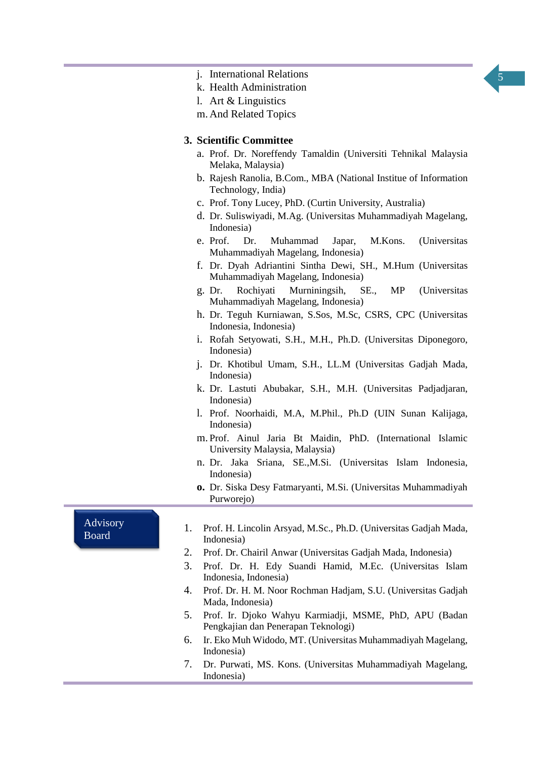

- j. International Relations
- k. Health Administration
- l. Art & Linguistics
- m. And Related Topics

## **3. Scientific Committee**

- a. Prof. Dr. Noreffendy Tamaldin (Universiti Tehnikal Malaysia Melaka, Malaysia)
- b. Rajesh Ranolia, B.Com., MBA (National Institue of Information Technology, India)
- c. Prof. Tony Lucey, PhD. (Curtin University, Australia)
- d. Dr. Suliswiyadi, M.Ag. (Universitas Muhammadiyah Magelang, Indonesia)
- e. Prof. Dr. Muhammad Japar, M.Kons. (Universitas Muhammadiyah Magelang, Indonesia)
- f. Dr. Dyah Adriantini Sintha Dewi, SH., M.Hum (Universitas Muhammadiyah Magelang, Indonesia)
- g. Dr. Rochiyati Murniningsih, SE., MP (Universitas Muhammadiyah Magelang, Indonesia)
- h. Dr. Teguh Kurniawan, S.Sos, M.Sc, CSRS, CPC (Universitas Indonesia, Indonesia)
- i. Rofah Setyowati, S.H., M.H., Ph.D. (Universitas Diponegoro, Indonesia)
- j. Dr. Khotibul Umam, S.H., LL.M (Universitas Gadjah Mada, Indonesia)
- k. Dr. Lastuti Abubakar, S.H., M.H. (Universitas Padjadjaran, Indonesia)
- l. Prof. Noorhaidi, M.A, M.Phil., Ph.D (UIN Sunan Kalijaga, Indonesia)
- m. Prof. Ainul Jaria Bt Maidin, PhD. (International Islamic University Malaysia, Malaysia)
- n. Dr. Jaka Sriana, SE.,M.Si. (Universitas Islam Indonesia, Indonesia)
- **o.** Dr. Siska Desy Fatmaryanti, M.Si. (Universitas Muhammadiyah Purworejo)

Advisory Board

- 1. Prof. H. Lincolin Arsyad, M.Sc., Ph.D. (Universitas Gadjah Mada, Indonesia)
- 2. Prof. Dr. Chairil Anwar (Universitas Gadjah Mada, Indonesia)
- 3. Prof. Dr. H. Edy Suandi Hamid, M.Ec. (Universitas Islam Indonesia, Indonesia)
- 4. Prof. Dr. H. M. Noor Rochman Hadjam, S.U. (Universitas Gadjah Mada, Indonesia)
- 5. Prof. Ir. Djoko Wahyu Karmiadji, MSME, PhD, APU (Badan Pengkajian dan Penerapan Teknologi)
- 6. Ir. Eko Muh Widodo, MT. (Universitas Muhammadiyah Magelang, Indonesia)
- 7. Dr. Purwati, MS. Kons. (Universitas Muhammadiyah Magelang, Indonesia)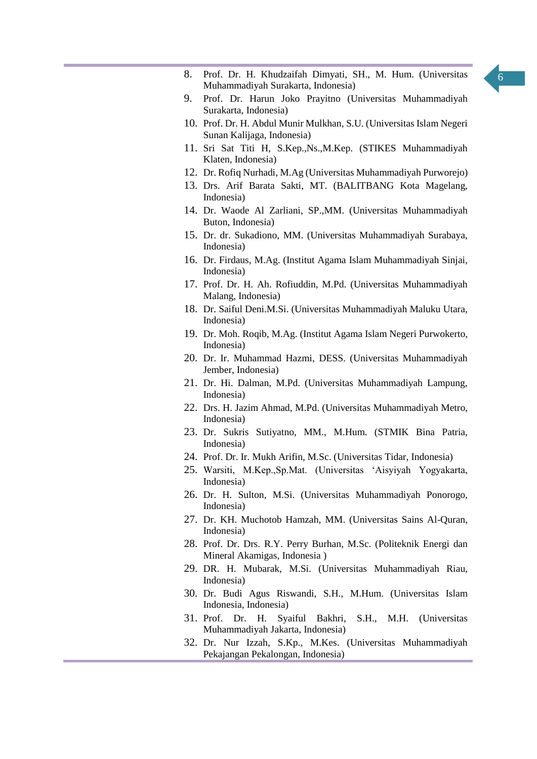

- 8. Prof. Dr. H. Khudzaifah Dimyati, SH., M. Hum. (Universitas Muhammadiyah Surakarta, Indonesia)
- 9. Prof. Dr. Harun Joko Prayitno (Universitas Muhammadiyah Surakarta, Indonesia)
- 10. Prof. Dr. H. Abdul Munir Mulkhan, S.U. (Universitas Islam Negeri Sunan Kalijaga, Indonesia)
- 11. Sri Sat Titi H, S.Kep.,Ns.,M.Kep. (STIKES Muhammadiyah Klaten, Indonesia)
- 12. Dr. Rofiq Nurhadi, M.Ag (Universitas Muhammadiyah Purworejo)
- 13. Drs. Arif Barata Sakti, MT. (BALITBANG Kota Magelang, Indonesia)
- 14. Dr. Waode Al Zarliani, SP.,MM. (Universitas Muhammadiyah Buton, Indonesia)
- 15. Dr. dr. Sukadiono, MM. (Universitas Muhammadiyah Surabaya, Indonesia)
- 16. Dr. Firdaus, M.Ag. (Institut Agama Islam Muhammadiyah Sinjai, Indonesia)
- 17. Prof. Dr. H. Ah. Rofiuddin, M.Pd. (Universitas Muhammadiyah Malang, Indonesia)
- 18. Dr. Saiful Deni.M.Si. (Universitas Muhammadiyah Maluku Utara, Indonesia)
- 19. Dr. Moh. Roqib, M.Ag. (Institut Agama Islam Negeri Purwokerto, Indonesia)
- 20. Dr. Ir. Muhammad Hazmi, DESS. (Universitas Muhammadiyah Jember, Indonesia)
- 21. Dr. Hi. Dalman, M.Pd. (Universitas Muhammadiyah Lampung, Indonesia)
- 22. Drs. H. Jazim Ahmad, M.Pd. (Universitas Muhammadiyah Metro, Indonesia)
- 23. Dr. Sukris Sutiyatno, MM., M.Hum. (STMIK Bina Patria, Indonesia)
- 24. Prof. Dr. Ir. Mukh Arifin, M.Sc. (Universitas Tidar, Indonesia)
- 25. Warsiti, M.Kep.,Sp.Mat. (Universitas 'Aisyiyah Yogyakarta, Indonesia)
- 26. Dr. H. Sulton, M.Si. (Universitas Muhammadiyah Ponorogo, Indonesia)
- 27. Dr. KH. Muchotob Hamzah, MM. (Universitas Sains Al-Quran, Indonesia)
- 28. Prof. Dr. Drs. R.Y. Perry Burhan, M.Sc. (Politeknik Energi dan Mineral Akamigas, Indonesia )
- 29. DR. H. Mubarak, M.Si. (Universitas Muhammadiyah Riau, Indonesia)
- 30. Dr. Budi Agus Riswandi, S.H., M.Hum. (Universitas Islam Indonesia, Indonesia)
- 31. Prof. Dr. H. Syaiful Bakhri, S.H., M.H. (Universitas Muhammadiyah Jakarta, Indonesia)
- 32. Dr. Nur Izzah, S.Kp., M.Kes. (Universitas Muhammadiyah Pekajangan Pekalongan, Indonesia)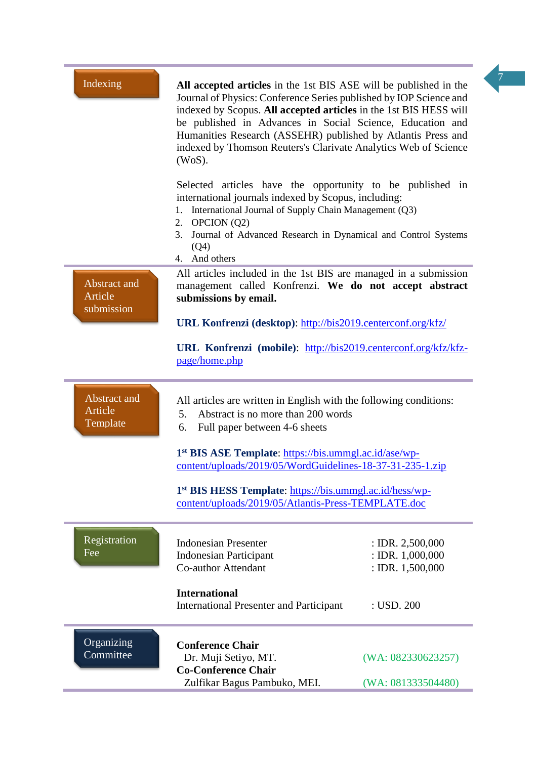| Indexing                                     | All accepted articles in the 1st BIS ASE will be published in the<br>Journal of Physics: Conference Series published by IOP Science and<br>indexed by Scopus. All accepted articles in the 1st BIS HESS will<br>be published in Advances in Social Science, Education and<br>Humanities Research (ASSEHR) published by Atlantis Press and<br>indexed by Thomson Reuters's Clarivate Analytics Web of Science<br>(WoS). | $\overline{7}$                                                 |
|----------------------------------------------|------------------------------------------------------------------------------------------------------------------------------------------------------------------------------------------------------------------------------------------------------------------------------------------------------------------------------------------------------------------------------------------------------------------------|----------------------------------------------------------------|
|                                              | Selected articles have the opportunity to be published in<br>international journals indexed by Scopus, including:<br>1. International Journal of Supply Chain Management (Q3)<br>2. OPCION $(Q2)$<br>Journal of Advanced Research in Dynamical and Control Systems<br>3.<br>(Q4)<br>4. And others                                                                                                                      |                                                                |
| <b>Abstract</b> and<br>Article<br>submission | All articles included in the 1st BIS are managed in a submission<br>management called Konfrenzi. We do not accept abstract<br>submissions by email.                                                                                                                                                                                                                                                                    |                                                                |
|                                              | URL Konfrenzi (desktop): http://bis2019.centerconf.org/kfz/                                                                                                                                                                                                                                                                                                                                                            |                                                                |
|                                              | URL Konfrenzi (mobile): http://bis2019.centerconf.org/kfz/kfz-<br>page/home.php                                                                                                                                                                                                                                                                                                                                        |                                                                |
| Abstract and<br>Article<br>Template          | All articles are written in English with the following conditions:<br>Abstract is no more than 200 words<br>5.<br>Full paper between 4-6 sheets<br>6.                                                                                                                                                                                                                                                                  |                                                                |
|                                              | 1 <sup>st</sup> BIS ASE Template: https://bis.ummgl.ac.id/ase/wp-<br>content/uploads/2019/05/WordGuidelines-18-37-31-235-1.zip                                                                                                                                                                                                                                                                                         |                                                                |
|                                              | 1 <sup>st</sup> BIS HESS Template: https://bis.ummgl.ac.id/hess/wp-<br>content/uploads/2019/05/Atlantis-Press-TEMPLATE.doc                                                                                                                                                                                                                                                                                             |                                                                |
| Registration<br>Fee                          | <b>Indonesian Presenter</b><br><b>Indonesian Participant</b><br><b>Co-author Attendant</b>                                                                                                                                                                                                                                                                                                                             | : IDR. $2,500,000$<br>: IDR. $1,000,000$<br>: IDR. $1,500,000$ |
|                                              | <b>International</b><br><b>International Presenter and Participant</b>                                                                                                                                                                                                                                                                                                                                                 | : USD. $200$                                                   |
| Organizing<br>Committee                      | <b>Conference Chair</b><br>Dr. Muji Setiyo, MT.<br><b>Co-Conference Chair</b>                                                                                                                                                                                                                                                                                                                                          | (WA: 082330623257)                                             |
|                                              | Zulfikar Bagus Pambuko, MEI.                                                                                                                                                                                                                                                                                                                                                                                           | (WA: 081333504480)                                             |